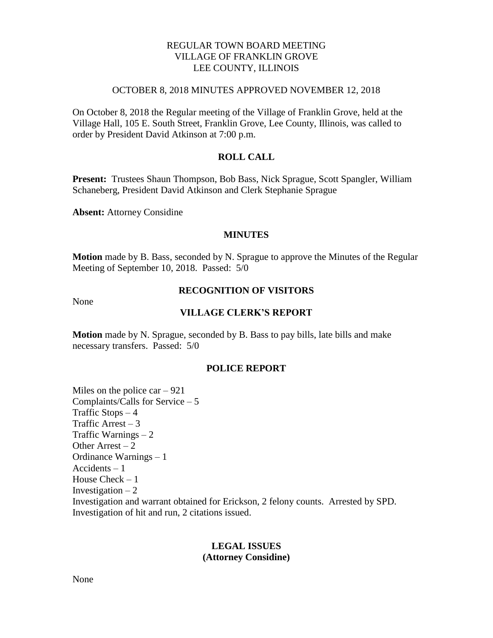# REGULAR TOWN BOARD MEETING VILLAGE OF FRANKLIN GROVE LEE COUNTY, ILLINOIS

### OCTOBER 8, 2018 MINUTES APPROVED NOVEMBER 12, 2018

On October 8, 2018 the Regular meeting of the Village of Franklin Grove, held at the Village Hall, 105 E. South Street, Franklin Grove, Lee County, Illinois, was called to order by President David Atkinson at 7:00 p.m.

## **ROLL CALL**

**Present:** Trustees Shaun Thompson, Bob Bass, Nick Sprague, Scott Spangler, William Schaneberg, President David Atkinson and Clerk Stephanie Sprague

**Absent:** Attorney Considine

#### **MINUTES**

**Motion** made by B. Bass, seconded by N. Sprague to approve the Minutes of the Regular Meeting of September 10, 2018. Passed: 5/0

None

# **RECOGNITION OF VISITORS**

#### **VILLAGE CLERK'S REPORT**

**Motion** made by N. Sprague, seconded by B. Bass to pay bills, late bills and make necessary transfers. Passed: 5/0

### **POLICE REPORT**

Miles on the police  $car - 921$ Complaints/Calls for Service – 5 Traffic Stops – 4 Traffic Arrest  $-3$ Traffic Warnings – 2 Other Arrest  $-2$ Ordinance Warnings – 1 Accidents – 1 House  $Check - 1$ Investigation  $-2$ Investigation and warrant obtained for Erickson, 2 felony counts. Arrested by SPD. Investigation of hit and run, 2 citations issued.

# **LEGAL ISSUES (Attorney Considine)**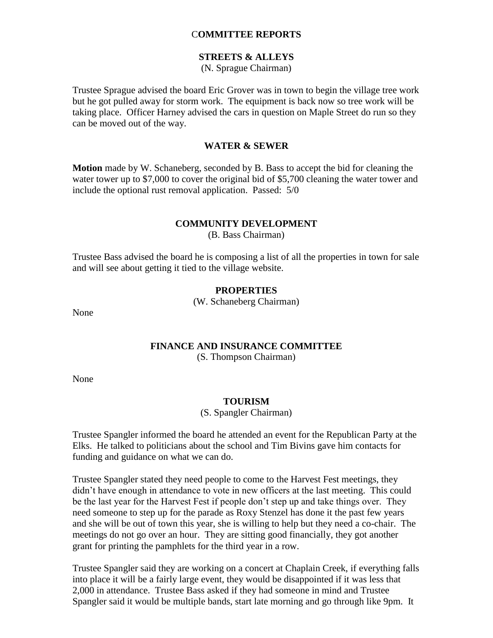## C**OMMITTEE REPORTS**

## **STREETS & ALLEYS**

(N. Sprague Chairman)

Trustee Sprague advised the board Eric Grover was in town to begin the village tree work but he got pulled away for storm work. The equipment is back now so tree work will be taking place. Officer Harney advised the cars in question on Maple Street do run so they can be moved out of the way.

## **WATER & SEWER**

**Motion** made by W. Schaneberg, seconded by B. Bass to accept the bid for cleaning the water tower up to \$7,000 to cover the original bid of \$5,700 cleaning the water tower and include the optional rust removal application. Passed: 5/0

#### **COMMUNITY DEVELOPMENT**

(B. Bass Chairman)

Trustee Bass advised the board he is composing a list of all the properties in town for sale and will see about getting it tied to the village website.

#### **PROPERTIES**

(W. Schaneberg Chairman)

None

## **FINANCE AND INSURANCE COMMITTEE**

(S. Thompson Chairman)

None

### **TOURISM**

(S. Spangler Chairman)

Trustee Spangler informed the board he attended an event for the Republican Party at the Elks. He talked to politicians about the school and Tim Bivins gave him contacts for funding and guidance on what we can do.

Trustee Spangler stated they need people to come to the Harvest Fest meetings, they didn't have enough in attendance to vote in new officers at the last meeting. This could be the last year for the Harvest Fest if people don't step up and take things over. They need someone to step up for the parade as Roxy Stenzel has done it the past few years and she will be out of town this year, she is willing to help but they need a co-chair. The meetings do not go over an hour. They are sitting good financially, they got another grant for printing the pamphlets for the third year in a row.

Trustee Spangler said they are working on a concert at Chaplain Creek, if everything falls into place it will be a fairly large event, they would be disappointed if it was less that 2,000 in attendance. Trustee Bass asked if they had someone in mind and Trustee Spangler said it would be multiple bands, start late morning and go through like 9pm. It